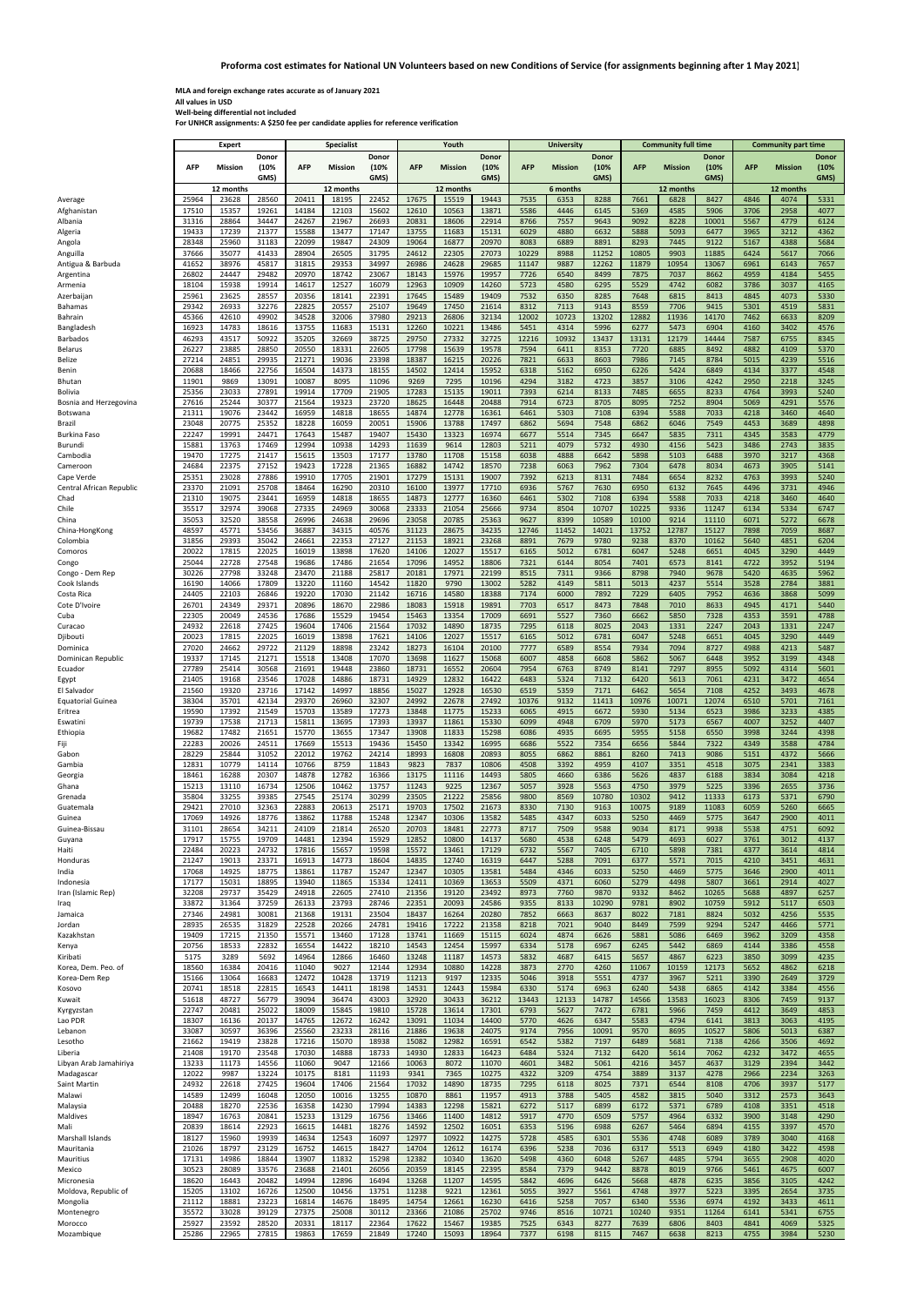**MLA and foreign exchange rates accurate as of January 2021 All values in USD Well‐being differential not included**

**For UNHCR assignments: A \$250 fee per candidate applies for reference verification**

|                               |                | Expert         |                | <b>Specialist</b> |                |                | Youth          |                |                | University    |                |               |               | <b>Community full time</b> |               | <b>Community part time</b> |                |              |
|-------------------------------|----------------|----------------|----------------|-------------------|----------------|----------------|----------------|----------------|----------------|---------------|----------------|---------------|---------------|----------------------------|---------------|----------------------------|----------------|--------------|
|                               |                |                | Donor          |                   |                | Donor          |                |                | Donor          |               |                | Donor         |               |                            | Donor         | <b>Donor</b>               |                |              |
|                               | <b>AFP</b>     | Mission        | (10%           | <b>AFP</b>        | Mission        | (10%           | <b>AFP</b>     | <b>Mission</b> | (10%           | <b>AFP</b>    | <b>Mission</b> | (10%          | <b>AFP</b>    | <b>Mission</b>             | (10%          | <b>AFP</b>                 | <b>Mission</b> | (10%         |
|                               |                |                | GMS)           |                   |                | GMS)           |                |                | GMS)           |               |                | GMS)          |               |                            | GMS)          |                            |                | GMS)         |
|                               |                | 12 months      |                |                   | 12 months      |                |                | 12 months      |                |               | 6 months       |               |               | 12 months                  |               |                            | 12 months      |              |
| Average                       | 25964          | 23628          | 28560          | 20411             | 18195          | 22452          | 17675          | 15519          | 19443          | 7535          | 6353           | 8288          | 7661          | 6828                       | 8427          | 4846                       | 4074           | 5331         |
| Afghanistan                   | 17510          | 15357          | 19261          | 14184             | 12103          | 15602          | 12610          | 10563          | 13871          | 5586          | 4446           | 6145          | 5369          | 4585                       | 5906          | 3706                       | 2958           | 4077         |
| Albania                       | 31316          | 28864          | 34447          | 24267             | 21967          | 26693          | 20831          | 18606          | 22914          | 8766          | 7557           | 9643          | 9092          | 8228                       | 10001         | 5567                       | 4779           | 6124         |
| Algeria                       | 19433          | 17239          | 21377          | 15588             | 13477          | 17147          | 13755          | 11683          | 15131          | 6029          | 4880           | 6632          | 5888          | 5093                       | 6477          | 3965                       | 3212           | 4362         |
| Angola                        | 28348          | 25960          | 31183          | 22099             | 19847          | 24309          | 19064          | 16877          | 20970          | 8083          | 6889           | 8891          | 8293          | 7445                       | 9122          | 5167                       | 4388           | 5684         |
| Anguilla                      | 37666          | 35077          | 41433          | 28904             | 26505          | 31795          | 24612          | 22305          | 27073          | 10229         | 8988           | 11252         | 10805         | 9903                       | 11885         | 6424                       | 5617           | 7066         |
| Antigua & Barbuda             | 41652          | 38976          | 45817          | 31815             | 29353          | 34997          | 26986          | 24628          | 29685          | 11147         | 9887           | 12262         | 11879         | 10954                      | 13067         | 6961                       | 6143           | 7657         |
| Argentina                     | 26802          | 24447          | 29482          | 20970             | 18742          | 23067          | 18143          | 15976          | 19957          | 7726          | 6540           | 8499          | 7875          | 7037                       | 8662          | 4959                       | 4184           | 5455         |
| Armenia                       | 18104          | 15938          | 19914          | 14617             | 12527          | 16079          | 12963          | 10909          | 14260          | 5723          | 4580           | 6295          | 5529          | 4742                       | 6082          | 3786                       | 3037           | 4165         |
| Azerbaijan                    | 25961          | 23625          | 28557          | 20356             | 18141          | 22391          | 17645          | 15489          | 19409          | 7532          | 6350           | 8285          | 7648          | 6815                       | 8413          | 4845                       | 4073           | 5330         |
| <b>Bahamas</b>                | 29342<br>45366 | 26933<br>42610 | 32276<br>49902 | 22825<br>34528    | 20557<br>32006 | 25107<br>37980 | 19649<br>29213 | 17450<br>26806 | 21614<br>32134 | 8312<br>12002 | 7113<br>10723  | 9143<br>13202 | 8559<br>12882 | 7706<br>11936              | 9415<br>14170 | 5301<br>7462               | 4519<br>6633   | 5831<br>8209 |
| Bahrain                       | 16923          | 14783          |                | 13755             | 11683          |                | 12260          |                | 13486          |               | 4314           | 5996          | 6277          |                            |               |                            |                |              |
| Bangladesh<br><b>Barbados</b> | 46293          | 43517          | 18616<br>50922 | 35205             | 32669          | 15131<br>38725 | 29750          | 10221<br>27332 | 32725          | 5451<br>12216 | 10932          | 13437         | 13131         | 5473<br>12179              | 6904<br>14444 | 4160<br>7587               | 3402<br>6755   | 4576<br>8345 |
| <b>Belarus</b>                | 26227          | 23885          | 28850          | 20550             | 18331          | 22605          | 17798          | 15639          | 19578          | 7594          | 6411           | 8353          | 7720          | 6885                       | 8492          | 4882                       | 4109           | 5370         |
| Belize                        | 27214          | 24851          | 29935          | 21271             | 19036          | 23398          | 18387          | 16215          | 20226          | 7821          | 6633           | 8603          | 7986          | 7145                       | 8784          | 5015                       | 4239           | 5516         |
| Benin                         | 20688          | 18466          | 22756          | 16504             | 14373          | 18155          | 14502          | 12414          | 15952          | 6318          | 5162           | 6950          | 6226          | 5424                       | 6849          | 4134                       | 3377           | 4548         |
| Bhutan                        | 11901          | 9869           | 13091          | 10087             | 8095           | 11096          | 9269           | 7295           | 10196          | 4294          | 3182           | 4723          | 3857          | 3106                       | 4242          | 2950                       | 2218           | 3245         |
| Bolivia                       | 25356          | 23033          | 27891          | 19914             | 17709          | 21905          | 17283          | 15135          | 19011          | 7393          | 6214           | 8133          | 7485          | 6655                       | 8233          | 4764                       | 3993           | 5240         |
| Bosnia and Herzegovina        | 27616          | 25244          | 30377          | 21564             | 19323          | 23720          | 18625          | 16448          | 20488          | 7914          | 6723           | 8705          | 8095          | 7252                       | 8904          | 5069                       | 4291           | 5576         |
| Botswana                      | 21311          | 19076          | 23442          | 16959             | 14818          | 18655          | 14874          | 12778          | 16361          | 6461          | 5303           | 7108          | 6394          | 5588                       | 7033          | 4218                       | 3460           | 4640         |
| Brazil                        | 23048          | 20775          | 25352          | 18228             | 16059          | 20051          | 15906          | 13788          | 17497          | 6862          | 5694           | 7548          | 6862          | 6046                       | 7549          | 4453                       | 3689           | 4898         |
| Burkina Faso                  | 22247          | 19991          | 24471          | 17643             | 15487          | 19407          | 15430          | 13323          | 16974          | 6677          | 5514           | 7345          | 6647          | 5835                       | 7311          | 4345                       | 3583           | 4779         |
| Burundi                       | 15881          | 13763          | 17469          | 12994             | 10938          | 14293          | 11639          | 9614           | 12803          | 5211          | 4079           | 5732          | 4930          | 4156                       | 5423          | 3486                       | 2743           | 3835         |
| Cambodia                      | 19470          | 17275          | 21417          | 15615             | 13503          | 17177          | 13780          | 11708          | 15158          | 6038          | 4888           | 6642          | 5898          | 5103                       | 6488          | 3970                       | 3217           | 4368         |
| Cameroon                      | 24684          | 22375          | 27152          | 19423             | 17228          | 21365          | 16882          | 14742          | 18570          | 7238          | 6063           | 7962          | 7304          | 6478                       | 8034          | 4673                       | 3905           | 5141         |
| Cape Verde                    | 25351          | 23028          | 27886          | 19910             | 17705          | 21901          | 17279          | 15131          | 19007          | 7392          | 6213           | 8131          | 7484          | 6654                       | 8232          | 4763                       | 3993           | 5240         |
| Central African Republic      | 23370          | 21091          | 25708          | 18464             | 16290          | 20310          | 16100          | 13977          | 17710          | 6936          | 5767           | 7630          | 6950          | 6132                       | 7645          | 4496                       | 3731           | 4946         |
| Chad                          | 21310          | 19075          | 23441          | 16959             | 14818          | 18655          | 14873          | 12777          | 16360          | 6461          | 5302           | 7108          | 6394          | 5588                       | 7033          | 4218                       | 3460           | 4640         |
| Chile                         | 35517          | 32974          | 39068          | 27335             | 24969          | 30068          | 23333          | 21054          | 25666          | 9734          | 8504           | 10707         | 10225         | 9336                       | 11247         | 6134                       | 5334           | 6747         |
| China                         | 35053          | 32520          | 38558          | 26996             | 24638          | 29696          | 23058          | 20785          | 25363          | 9627          | 8399           | 10589         | 10100         | 9214                       | 11110         | 6071                       | 5272           | 6678         |
| China-HongKong                | 48597          | 45771          | 53456          | 36887             | 34315          | 40576          | 31123          | 28675          | 34235          | 12746         | 11452          | 14021         | 13752         | 12787                      | 15127         | 7898                       | 7059           | 8687         |
| Colombia                      | 31856          | 29393          | 35042          | 24661             | 22353          | 27127          | 21153          | 18921          | 23268          | 8891          | 7679           | 9780          | 9238          | 8370                       | 10162         | 5640                       | 4851           | 6204         |
| Comoros                       | 20022          | 17815          | 22025          | 16019             | 13898          | 17620          | 14106          | 12027          | 15517          | 6165          | 5012           | 6781          | 6047          | 5248                       | 6651          | 4045                       | 3290           | 4449         |
| Congo                         | 25044          | 22728          | 27548          | 19686             | 17486          | 21654          | 17096          | 14952          | 18806          | 7321          | 6144           | 8054          | 7401          | 6573                       | 8141          | 4722                       | 3952           | 5194         |
| Congo - Dem Rep               | 30226          | 27798          | 33248          | 23470             | 21188          | 25817          | 20181          | 17971          | 22199          | 8515          | 7311           | 9366          | 8798          | 7940                       | 9678          | 5420                       | 4635           | 5962         |
| Cook Islands                  | 16190          | 14066          | 17809          | 13220             | 11160          | 14542          | 11820          | 9790           | 13002          | 5282          | 4149           | 5811          | 5013          | 4237                       | 5514          | 3528                       | 2784           | 3881         |
| Costa Rica                    | 24405          | 22103          | 26846          | 19220             | 17030          | 21142          | 16716          | 14580          | 18388          | 7174          | 6000           | 7892          | 7229          | 6405                       | 7952          | 4636                       | 3868           | 5099         |
| Cote D'Ivoire                 | 26701          | 24349          | 29371          | 20896             | 18670          | 22986          | 18083          | 15918          | 19891          | 7703          | 6517           | 8473          | 7848          | 7010                       | 8633          | 4945                       | 4171           | 5440         |
| Cuba                          | 22305          | 20049          | 24536          | 17686             | 15529          | 19454          | 15463          | 13354          | 17009          | 6691          | 5527           | 7360          | 6662          | 5850                       | 7328          | 4353                       | 3591           | 4788         |
| Curacao                       | 24932          | 22618          | 27425          | 19604             | 17406          | 21564          | 17032          | 14890          | 18735          | 7295          | 6118           | 8025          | 2043          | 1331                       | 2247          | 2043                       | 1331           | 2247         |
| Djibouti                      | 20023          | 17815          | 22025          | 16019             | 13898          | 17621          | 14106          | 12027          | 15517          | 6165          | 5012           | 6781          | 6047          | 5248                       | 6651          | 4045                       | 3290           | 4449         |
| Dominica                      | 27020          | 24662          | 29722          | 21129             | 18898          | 23242          | 18273          | 16104          | 20100          | 7777          | 6589           | 8554          | 7934          | 7094                       | 8727          | 4988                       | 4213           | 5487         |
| Dominican Republic            | 19337          | 17145          | 21271          | 15518             | 13408          | 17070          | 13698          | 11627          | 15068          | 6007          | 4858           | 6608          | 5862          | 5067                       | 6448          | 3952                       | 3199           | 4348         |
| Ecuador                       | 27789          | 25414          | 30568          | 21691             | 19448          | 23860          | 18731          | 16552          | 20604          | 7954          | 6763           | 8749          | 8141          | 7297                       | 8955          | 5092                       | 4314           | 5601         |
| Egypt                         | 21405          | 19168          | 23546          | 17028             | 14886          | 18731          | 14929          | 12832          | 16422          | 6483          | 5324           | 7132          | 6420          | 5613                       | 7061          | 4231                       | 3472           | 4654         |
| El Salvador                   | 21560          | 19320          | 23716          | 17142             | 14997          | 18856          | 15027          | 12928          | 16530          | 6519          | 5359           | 7171          | 6462          | 5654                       | 7108          | 4252                       | 3493           | 4678         |
| <b>Equatorial Guinea</b>      | 38304          | 35701          | 42134          | 29370             | 26960          | 32307          | 24992          | 22678          | 27492          | 10376         | 9132           | 11413         | 10976         | 10071                      | 12074         | 6510                       | 5701           | 7161         |
| Eritrea                       | 19590          | 17392          | 21549          | 15703             | 13589          | 17273          | 13848          | 11775          | 15233          | 6065          | 4915           | 6672          | 5930          | 5134                       | 6523          | 3986                       | 3233           | 4385         |
| Eswatini                      | 19739          | 17538          | 21713          | 15811             | 13695          | 17393          | 13937          | 11861          | 15330          | 6099          | 4948           | 6709          | 5970          | 5173                       | 6567          | 4007                       | 3252           | 4407         |
| Ethiopia                      | 19682          | 17482          | 21651          | 15770             | 13655          | 17347          | 13908          | 11833          | 15298          | 6086          | 4935           | 6695          | 5955          | 5158                       | 6550          | 3998                       | 3244           | 4398         |
| Fiji                          | 22283          | 20026          | 24511          | 17669             | 15513          | 19436          | 15450          | 13342          | 16995          | 6686          | 5522           | 7354          | 6656          | 5844                       | 7322          | 4349                       | 3588           | 4784         |
| Gabon                         | 28229          | 25844          | 31052          | 22012             | 19762          | 24214          | 18993          | 16808          | 20893          | 8055          | 6862           | 8861          | 8260          | 7413                       | 9086          | 5151                       | 4372           | 5666         |
| Gambia                        | 12831          | 10779          | 14114          | 10766             | 8759           | 11843          | 9823           | 7837           | 10806          | 4508          | 3392           | 4959          | 4107          | 3351                       | 4518          | 3075                       | 2341           | 3383         |
| Georgia                       | 18461          | 16288          | 20307          | 14878             | 12782          | 16366          | 13175          | 11116          | 14493          | 5805          | 4660           | 6386          | 5626          | 4837                       | 6188          | 3834                       | 3084           | 4218         |
| Ghana                         | 15213          | 13110<br>33255 | 16734          | 12506<br>27545    | 10462          | 13757<br>30299 | 11243          | 9225<br>21222  | 12367<br>25856 | 5057<br>9800  | 3928           | 5563<br>10780 | 4750<br>10302 | 3979<br>9412               | 5225<br>11333 | 3396                       | 2655<br>5371   | 3736         |
| Grenada                       | 35804<br>29421 | 27010          | 39385<br>32363 | 22883             | 25174<br>20613 | 25171          | 23505<br>19703 | 17502          | 21673          | 8330          | 8569<br>7130   | 9163          | 10075         | 9189                       | 11083         | 6173<br>6059               | 5260           | 6790<br>6665 |
| Guatemala<br>Guinea           | 17069          | 14926          | 18776          | 13862             | 11788          | 15248          | 12347          | 10306          | 13582          | 5485          | 4347           | 6033          | 5250          | 4469                       | 5775          | 3647                       | 2900           | 4011         |
| Guinea-Bissau                 | 31101          | 28654          | 34211          | 24109             | 21814          | 26520          | 20703          | 18481          | 22773          | 8717          | 7509           | 9588          | 9034          | 8171                       | 9938          | 5538                       | 4751           | 6092         |
| Guyana                        | 17917          | 15755          | 19709          | 14481             | 12394          | 15929          | 12852          | 10800          | 14137          | 5680          | 4538           | 6248          | 5479          | 4693                       | 6027          | 3761                       | 3012           | 4137         |
| Haiti                         | 22484          | 20223          | 24732          | 17816             | 15657          | 19598          | 15572          | 13461          | 17129          | 6732          | 5567           | 7405          | 6710          | 5898                       | 7381          | 4377                       | 3614           | 4814         |
| Honduras                      | 21247          | 19013          | 23371          | 16913             | 14773          | 18604          | 14835          | 12740          | 16319          | 6447          | 5288           | 7091          | 6377          | 5571                       | 7015          | 4210                       | 3451           | 4631         |
| India                         | 17068          | 14925          | 18775          | 13861             | 11787          | 15247          | 12347          | 10305          | 13581          | 5484          | 4346           | 6033          | 5250          | 4469                       | 5775          | 3646                       | 2900           | 4011         |
| Indonesia                     | 17177          | 15031          | 18895          | 13940             | 11865          | 15334          | 12411          | 10369          | 13653          | 5509          | 4371           | 6060          | 5279          | 4498                       | 5807          | 3661                       | 2914           | 4027         |
| Iran (Islamic Rep)            | 32208          | 29737          | 35429          | 24918             | 22605          | 27410          | 21356          | 19120          | 23492          | 8973          | 7760           | 9870          | 9332          | 8462                       | 10265         | 5688                       | 4897           | 6257         |
| Iraq                          | 33872          | 31364          | 37259          | 26133             | 23793          | 28746          | 22351          | 20093          | 24586          | 9355          | 8133           | 10290         | 9781          | 8902                       | 10759         | 5912                       | 5117           | 6503         |
| Jamaica                       | 27346          | 24981          | 30081          | 21368             | 19131          | 23504          | 18437          | 16264          | 20280          | 7852          | 6663           | 8637          | 8022          | 7181                       | 8824          | 5032                       | 4256           | 5535         |
| Jordan                        | 28935          | 26535          | 31829          | 22528             | 20266          | 24781          | 19416          | 17222          | 21358          | 8218          | 7021           | 9040          | 8449          | 7599                       | 9294          | 5247                       | 4466           | 5771         |
| Kazakhstan                    | 19409          | 17215          | 21350          | 15571             | 13460          | 17128          | 13741          | 11669          | 15115          | 6024          | 4874           | 6626          | 5881          | 5086                       | 6469          | 3962                       | 3209           | 4358         |
| Kenya                         | 20756          | 18533          | 22832          | 16554             | 14422          | 18210          | 14543          | 12454          | 15997          | 6334          | 5178           | 6967          | 6245          | 5442                       | 6869          | 4144                       | 3386           | 4558         |
| Kiribati                      | 5175           | 3289           | 5692           | 14964             | 12866          | 16460          | 13248          | 11187          | 14573          | 5832          | 4687           | 6415          | 5657          | 4867                       | 6223          | 3850                       | 3099           | 4235         |
| Korea, Dem. Peo. of           | 18560          | 16384          | 20416          | 11040             | 9027           | 12144          | 12934          | 10880          | 14228          | 3873          | 2770           | 4260          | 11067         | 10159                      | 12173         | 5652                       | 4862           | 6218         |
| Korea-Dem Rep                 | 15166          | 13064          | 16683          | 12472             | 10428          | 13719          | 11213          | 9197           | 12335          | 5046          | 3918           | 5551          | 4737          | 3967                       | 5211          | 3390                       | 2649           | 3729         |
| Kosovo                        | 20741          | 18518          | 22815          | 16543             | 14411          | 18198          | 14531          | 12443          | 15984          | 6330          | 5174           | 6963          | 6240          | 5438                       | 6865          | 4142                       | 3384           | 4556         |
| Kuwait                        | 51618          | 48727          | 56779          | 39094             | 36474          | 43003          | 32920          | 30433          | 36212          | 13443         | 12133          | 14787         | 14566         | 13583                      | 16023         | 8306                       | 7459           | 9137         |
| Kyrgyzstan                    | 22747          | 20481          | 25022          | 18009             | 15845          | 19810          | 15728          | 13614          | 17301          | 6793          | 5627           | 7472          | 6781          | 5966                       | 7459          | 4412                       | 3649           | 4853         |
| Lao PDR                       | 18307          | 16136          | 20137          | 14765             | 12672          | 16242          | 13091          | 11034          | 14400          | 5770          | 4626           | 6347          | 5583          | 4794                       | 6141          | 3813                       | 3063           | 4195         |
| Lebanon                       | 33087          | 30597          | 36396          | 25560             | 23233          | 28116          | 21886          | 19638          | 24075          | 9174          | 7956           | 10091         | 9570          | 8695                       | 10527         | 5806                       | 5013           | 6387         |
| Lesotho                       | 21662          | 19419          | 23828          | 17216             | 15070          | 18938          | 15082          | 12982          | 16591          | 6542          | 5382           | 7197          | 6489          | 5681                       | 7138          | 4266                       | 3506           | 4692         |
| Liberia                       | 21408          | 19170          | 23548          | 17030             | 14888          | 18733          | 14930          | 12833          | 16423          | 6484          | 5324           | 7132          | 6420          | 5614                       | 7062          | 4232                       | 3472           | 4655         |
| Libyan Arab Jamahiriya        | 13233          | 11173          | 14556          | 11060             | 9047           | 12166          | 10063          | 8072           | 11070          | 4601          | 3482           | 5061          | 4216          | 3457                       | 4637          | 3129                       | 2394           | 3442         |
| Madagascar                    | 12022          | 9987           | 13224          | 10175             | 8181           | 11193          | 9341           | 7365           | 10275          | 4322          | 3209           | 4754          | 3889          | 3137                       | 4278          | 2966                       | 2234           | 3263         |
| Saint Martin                  | 24932          | 22618          | 27425          | 19604             | 17406          | 21564          | 17032          | 14890          | 18735          | 7295          | 6118           | 8025          | 7371          | 6544                       | 8108          | 4706                       | 3937           | 5177         |
| Malawi                        | 14589          | 12499          | 16048          | 12050             | 10016          | 13255          | 10870          | 8861           | 11957          | 4913          | 3788           | 5405          | 4582          | 3815                       | 5040          | 3312                       | 2573           | 3643         |
| Malaysia                      | 20488          | 18270          | 22536          | 16358             | 14230          | 17994          | 14383          | 12298          | 15821          | 6272          | 5117           | 6899          | 6172          | 5371                       | 6789          | 4108                       | 3351           | 4518         |
| Maldives                      | 18947          | 16763          | 20841          | 15233             | 13129          | 16756          | 13466          | 11400          | 14812          | 5917          | 4770           | 6509          | 5757          | 4964                       | 6332          | 3900                       | 3148           | 4290         |
| Mali                          | 20839          | 18614          | 22923          | 16615             | 14481          | 18276          | 14592          | 12502          | 16051          | 6353          | 5196           | 6988          | 6267          | 5464                       | 6894          | 4155                       | 3397           | 4570         |
| Marshall Islands              | 18127          | 15960          | 19939          | 14634             | 12543          | 16097          | 12977          | 10922          | 14275          | 5728          | 4585           | 6301          | 5536          | 4748                       | 6089          | 3789                       | 3040           | 4168         |
| Mauritania                    | 21026          | 18797          | 23129          | 16752             | 14615          | 18427          | 14704          | 12612          | 16174          | 6396          | 5238           | 7036          | 6317          | 5513                       | 6949          | 4180                       | 3422           | 4598         |
| Mauritius                     | 17131          | 14986          | 18844          | 13907             | 11832          | 15298          | 12382          | 10340          | 13620          | 5498          | 4360           | 6048          | 5267          | 4485                       | 5794          | 3655                       | 2908           | 4020         |
| Mexico                        | 30523          | 28089          | 33576          | 23688             | 21401          | 26056          | 20359          | 18145          | 22395          | 8584          | 7379           | 9442          | 8878          | 8019                       | 9766          | 5461                       | 4675           | 6007         |
| Micronesia                    | 18620          | 16443          | 20482          | 14994             | 12896          | 16494          | 13268          | 11207          | 14595          | 5842          | 4696           | 6426          | 5668          | 4878                       | 6235          | 3856                       | 3105           | 4242         |
| Moldova, Republic of          | 15205          | 13102          | 16726          | 12500             | 10456          | 13751          | 11238          | 9221           | 12361          | 5055          | 3927           | 5561          | 4748          | 3977                       | 5223          | 3395                       | 2654           | 3735         |
| Mongolia                      | 21112          | 18881          | 23223          | 16814             | 14676          | 18495          | 14754          | 12661          | 16230          | 6416          | 5258           | 7057          | 6340          | 5536                       | 6974          | 4192                       | 3433           | 4611         |
| Montenegro<br>Morocco         | 35572<br>25927 | 33028<br>23592 | 39129<br>28520 | 27375<br>20331    | 25008<br>18117 | 30112<br>22364 | 23366<br>17622 | 21086<br>15467 | 25702<br>19385 | 9746<br>7525  | 8516<br>6343   | 10721<br>8277 | 10240<br>7639 | 9351<br>6806               | 11264<br>8403 | 6141<br>4841               | 5341<br>4069   | 6755<br>5325 |
| Mozambique                    | 25286          | 22965          | 27815          | 19863             | 17659          | 21849          | 17240          | 15093          | 18964          | 7377          | 6198           | 8115          | 7467          | 6638                       | 8213          | 4755                       | 3984           | 5230         |